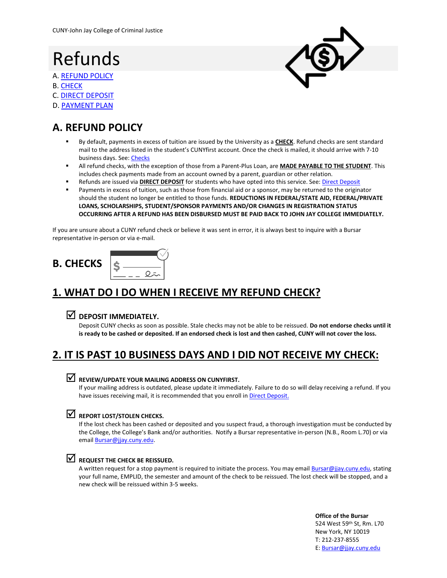## Refunds

- A[. REFUND](#page-0-0) POLICY
- B. [CHECK](#page-0-1)
- C. [DIRECT DEPOSIT](#page-1-0)
- D. [PAYMENT PLAN](#page-1-1)

## <span id="page-0-0"></span>**A. REFUND POLICY**

- By default, payments in excess of tuition are issued by the University as a CHECK. Refund checks are sent standard mail to the address listed in the student's CUNYfirst account. Once the check is mailed, it should arrive with 7-10 business days. See: [Checks](#page-0-1)
- All refund checks, with the exception of those from a Parent-Plus Loan, are **MADE PAYABLE TO THE STUDENT**. This includes check payments made from an account owned by a parent, guardian or other relation.
- Refunds are issued via **DIRECT DEPOSIT** for students who have opted into this service. See[: Direct Deposit](#page-1-0)
- Payments in excess of tuition, such as those from financial aid or a sponsor, may be returned to the originator should the student no longer be entitled to those funds. **REDUCTIONS IN FEDERAL/STATE AID, FEDERAL/PRIVATE LOANS, SCHOLARSHIPS, STUDENT/SPONSOR PAYMENTS AND/OR CHANGES IN REGISTRATION STATUS OCCURRING AFTER A REFUND HAS BEEN DISBURSED MUST BE PAID BACK TO JOHN JAY COLLEGE IMMEDIATELY.**

If you are unsure about a CUNY refund check or believe it was sent in error, it is always best to inquire with a Bursar representative in-person or via e-mail.

# <span id="page-0-1"></span>**B. CHECKS**

## **1. WHAT DO I DO WHEN I RECEIVE MY REFUND CHECK?**

#### **DEPOSIT IMMEDIATELY.**

Deposit CUNY checks as soon as possible. Stale checks may not be able to be reissued. **Do not endorse checks until it is ready to be cashed or deposited. If an endorsed check is lost and then cashed, CUNY will not cover the loss.**

### **2. IT IS PAST 10 BUSINESS DAYS AND I DID NOT RECEIVE MY CHECK:**

#### **REVIEW/UPDATE YOUR MAILING ADDRESS ON CUNYFIRST.**

If your mailing address is outdated, please update it immediately. Failure to do so will delay receiving a refund. If you have issues receiving mail, it is recommended that you enroll in [Direct Deposit.](#page-1-0)

#### **REPORT LOST/STOLEN CHECKS.**

If the lost check has been cashed or deposited and you suspect fraud, a thorough investigation must be conducted by the College, the College's Bank and/or authorities. Notify a Bursar representative in-person (N.B., Room L.70) or via email **Bursar@jjay.cuny.edu**.

#### **REQUEST THE CHECK BE REISSUED.**

A written request for a stop payment is required to initiate the process. You may email **Bursar@jjay.cuny.edu**, stating your full name, EMPLID, the semester and amount of the check to be reissued. The lost check will be stopped, and a new check will be reissued within 3-5 weeks.

> **Office of the Bursar** 524 West 59th St, Rm. L70 New York, NY 10019 T: 212-237-8555 E: [Bursar@jjay.cuny.edu](mailto:Bursar@jjay.cuny.edu)